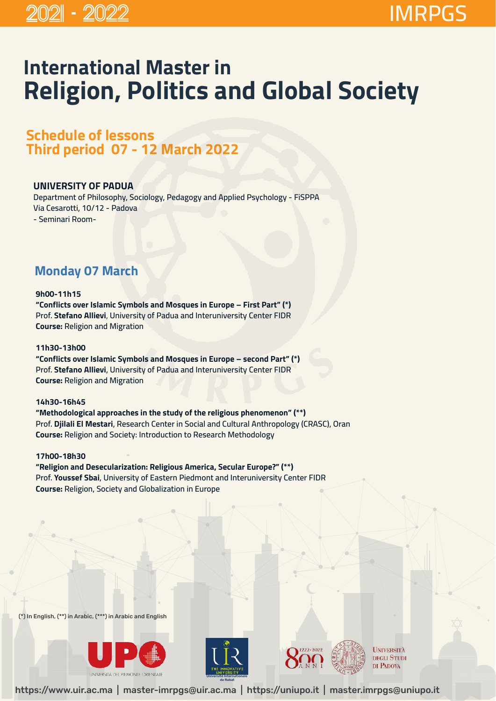# **International Master in Religion, Politics and Global Society**

## **Schedule of lessons Third period 07 - 12 March 2022**

### **UNIVERSITY OF PADUA**

**Department of Philosophy, Sociology, Pedagogy and Applied Psychology - FiSPPA Via Cesarotti, 10/12 - Padova - Seminari Room-** 

### **Monday 07 March**

#### **9h00-11h15**

**"Conflicts over Islamic Symbols and Mosques in Europe – First Part" (\*) Prof. Stefano Allievi**, **University of Padua and Interuniversity Center FIDR Course: Religion and Migration** 

#### **11h30-13h00**

**"Conflicts over Islamic Symbols and Mosques in Europe – second Part" (\*) Prof. Stefano Allievi, University of Padua and Interuniversity Center FIDR Course: Religion and Migration** 

#### **14h30-16h45**

**"Methodological approaches in the study of the religious phenomenon" (\*\*) Prof. Djilali El Mestari, Research Center in Social and Cultural Anthropology (CRASC), Oran Course: Religion and Society: Introduction to Research Methodology** 

### **17h00-18h30**

### **"Religion and Desecularization: Religious America, Secular Europe?" (\*\*) Prof. Youssef Sbai, University of Eastern Piedmont and Interuniversity Center FIDR Course: Religion, Society and Globalization in Europe**

(\*) In English, (\*\*) in Arabic, (\*\*\*) in Arabic and English







**UNIVERSITÀ DEGLI STUDI** DI PADOVA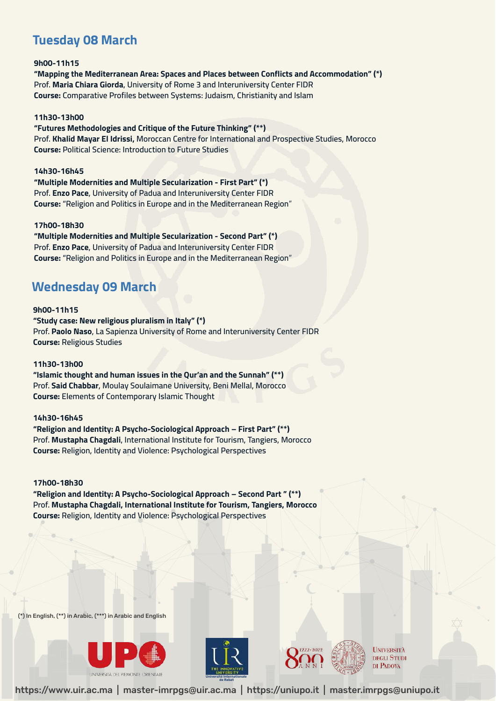### **Tuesday 08 March**

**9h00-11h15 "Mapping the Mediterranean Area: Spaces and Places between Conflicts and Accommodation" (\*) Prof. Maria Chiara Giorda, University of Rome 3 and Interuniversity Center FIDR Course: Comparative Profiles between Systems: Judaism, Christianity and Islam**

#### **11h30-13h00**

**"Futures Methodologies and Critique of the Future Thinking" (\*\*) Prof. Khalid Mayar El Idrissi, Moroccan Centre for International and Prospective Studies, Morocco Course: Political Science: Introduction to Future Studies**

#### **14h30-16h45**

**"Multiple Modernities and Multiple Secularization - First Part" (\*) Prof. Enzo Pace, University of Padua and Interuniversity Center FIDR Course: "Religion and Politics in Europe and in the Mediterranean Region**"

#### **17h00-18h30**

**"Multiple Modernities and Multiple Secularization - Second Part" (\*) Prof. Enzo Pace, University of Padua and Interuniversity Center FIDR Course: "Religion and Politics in Europe and in the Mediterranean Region**"

### **Wednesday 09 March**

#### **9h00-11h15**

**"Study case: New religious pluralism in Italy" (\*) Prof. Paolo Naso, La Sapienza University of Rome and Interuniversity Center FIDR Course: Religious Studies**

#### **11h30-13h00**

**"Islamic thought and human issues in the Qur'an and the Sunnah" (\*\*) Prof. Said Chabbar, Moulay Soulaimane University, Beni Mellal, Morocco Course: Elements of Contemporary Islamic Thought**

#### **14h30-16h45**

**"Religion and Identity: A Psycho-Sociological Approach – First Part" (\*\*) Prof. Mustapha Chagdali, International Institute for Tourism, Tangiers, Morocco Course: Religion, Identity and Violence: Psychological Perspectives**

**17h00-18h30 "Religion and Identity: A Psycho-Sociological Approach – Second Part " (\*\*) Prof. Mustapha Chagdali, International Institute for Tourism, Tangiers, Morocco Course: Religion, Identity and Violence: Psychological Perspectives**

(\*) In English, (\*\*) in Arabic, (\*\*\*) in Arabic and English







**UNIVERSITÀ DEGLI STUDI** DI PADOVA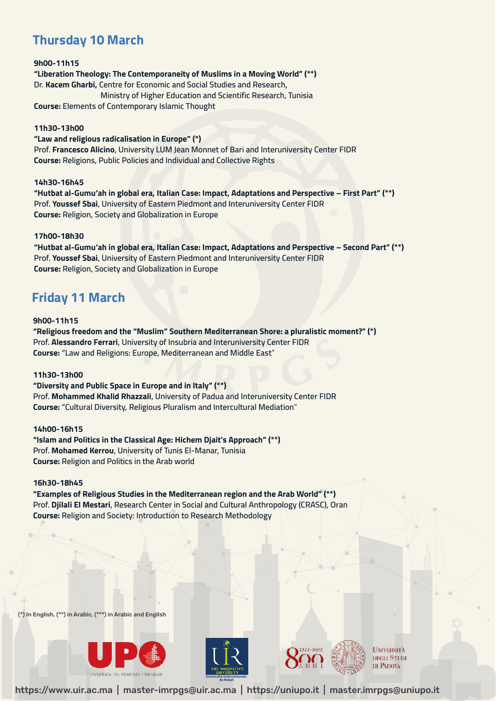### **Thursday 10 March**

#### **9h00-11h15 "Liberation Theology: The Contemporaneity of Muslims in a Moving World" (\*\*) Dr. Kacem Gharbi, Centre for Economic and Social Studies and Research, Ministry of Higher Education and Scientific Research, Tunisia Course: Elements of Contemporary Islamic Thought**

#### **11h30-13h00**

**"Law and religious radicalisation in Europe" (\*) Prof. Francesco Alicino, University LUM Jean Monnet of Bari and Interuniversity Center FIDR Course: Religions, Public Policies and Individual and Collective Rights** 

#### **14h30-16h45**

**"Hutbat al-Gumu'ah in global era, Italian Case: Impact, Adaptations and Perspective – First Part" (\*\*) Prof. Youssef Sbai, University of Eastern Piedmont and Interuniversity Center FIDR Course: Religion, Society and Globalization in Europe** 

#### **17h00-18h30**

**"Hutbat al-Gumu'ah in global era, Italian Case: Impact, Adaptations and Perspective – Second Part" (\*\*) Prof. Youssef Sbai, University of Eastern Piedmont and Interuniversity Center FIDR Course: Religion, Society and Globalization in Europe** 

### **Friday 11 March**

#### **9h00-11h15**

**"Religious freedom and the "Muslim" Southern Mediterranean Shore: a pluralistic moment?" (\*) Prof. Alessandro Ferrari, University of Insubria and Interuniversity Center FIDR Course: "Law and Religions: Europe, Mediterranean and Middle East**"

#### **11h30-13h00**

**"Diversity and Public Space in Europe and in Italy" (\*\*) Prof. Mohammed Khalid Rhazzali, University of Padua and Interuniversity Center FIDR Course: "Cultural Diversity, Religious Pluralism and Intercultural Mediation**"

#### **14h00-16h15**

**"Islam and Politics in the Classical Age: Hichem Djait's Approach" (\*\*) Prof. Mohamed Kerrou, University of Tunis El-Manar, Tunisia Course: Religion and Politics in the Arab world**

#### **16h30-18h45**

**"Examples of Religious Studies in the Mediterranean region and the Arab World" (\*\*) Prof. Djilali El Mestari, Research Center in Social and Cultural Anthropology (CRASC), Oran Course: Religion and Society: Introduction to Research Methodology** 

(\*) In English, (\*\*) in Arabic, (\*\*\*) in Arabic and English







**UNIVERSITÀ DEGLI STUDI** DI PADOVA